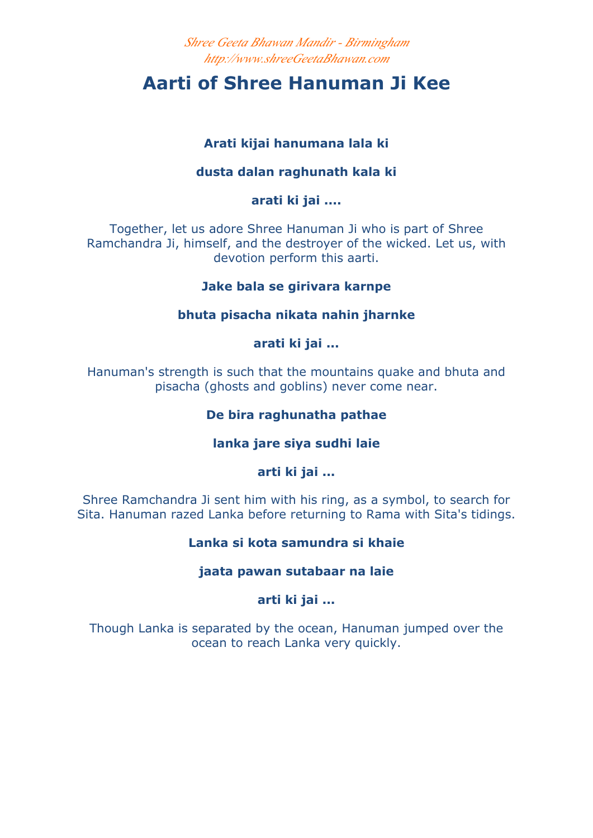*Shree Geeta Bhawan Mandir - Birmingham http://www.shreeGeetaBhawan.com*

# **Aarti of Shree Hanuman Ji Kee**

# **Arati kijai hanumana lala ki**

# **dusta dalan raghunath kala ki**

**arati ki jai ....**

Together, let us adore Shree Hanuman Ji who is part of Shree Ramchandra Ji, himself, and the destroyer of the wicked. Let us, with devotion perform this aarti.

## **Jake bala se girivara karnpe**

## **bhuta pisacha nikata nahin jharnke**

**arati ki jai ...**

Hanuman's strength is such that the mountains quake and bhuta and pisacha (ghosts and goblins) never come near.

# **De bira raghunatha pathae**

## **lanka jare siya sudhi laie**

**arti ki jai ...**

Shree Ramchandra Ji sent him with his ring, as a symbol, to search for Sita. Hanuman razed Lanka before returning to Rama with Sita's tidings.

## **Lanka si kota samundra si khaie**

## **jaata pawan sutabaar na laie**

# **arti ki jai ...**

Though Lanka is separated by the ocean, Hanuman jumped over the ocean to reach Lanka very quickly.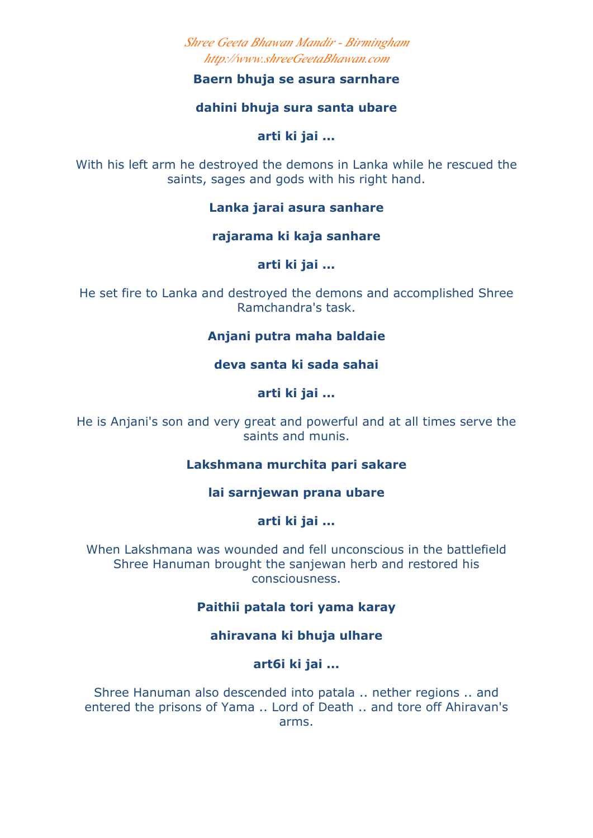*Shree Geeta Bhawan Mandir - Birmingham http://www.shreeGeetaBhawan.com*

#### **Baern bhuja se asura sarnhare**

#### **dahini bhuja sura santa ubare**

#### **arti ki jai ...**

With his left arm he destroyed the demons in Lanka while he rescued the saints, sages and gods with his right hand.

#### **Lanka jarai asura sanhare**

**rajarama ki kaja sanhare** 

**arti ki jai ...**

He set fire to Lanka and destroyed the demons and accomplished Shree Ramchandra's task.

## **Anjani putra maha baldaie**

**deva santa ki sada sahai** 

**arti ki jai ...**

He is Anjani's son and very great and powerful and at all times serve the saints and munis.

## **Lakshmana murchita pari sakare**

**lai sarnjewan prana ubare** 

**arti ki jai ...**

When Lakshmana was wounded and fell unconscious in the battlefield Shree Hanuman brought the sanjewan herb and restored his consciousness.

## **Paithii patala tori yama karay**

## **ahiravana ki bhuja ulhare**

**art6i ki jai ...**

Shree Hanuman also descended into patala .. nether regions .. and entered the prisons of Yama .. Lord of Death .. and tore off Ahiravan's arms.